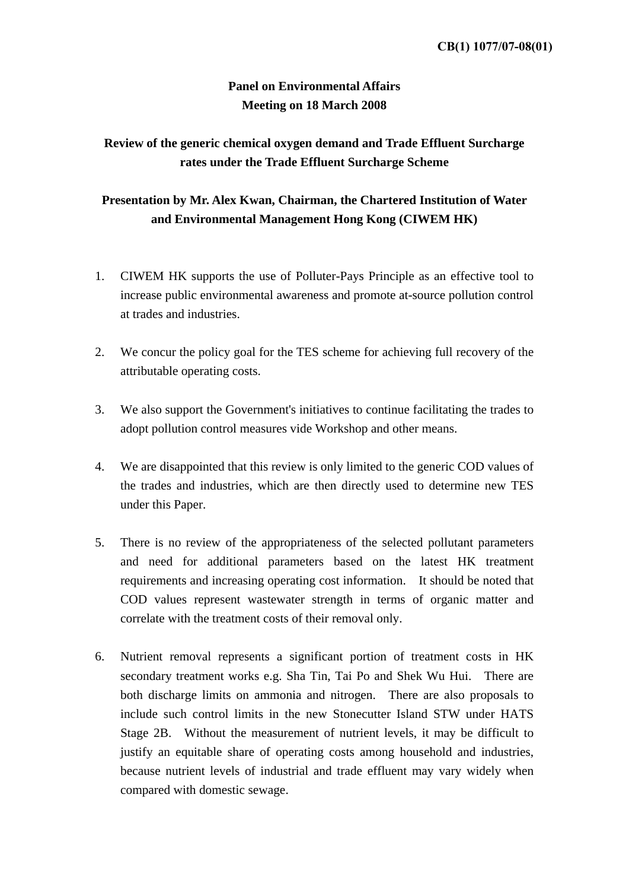## **Panel on Environmental Affairs Meeting on 18 March 2008**

## **Review of the generic chemical oxygen demand and Trade Effluent Surcharge rates under the Trade Effluent Surcharge Scheme**

## **Presentation by Mr. Alex Kwan, Chairman, the Chartered Institution of Water and Environmental Management Hong Kong (CIWEM HK)**

- 1. CIWEM HK supports the use of Polluter-Pays Principle as an effective tool to increase public environmental awareness and promote at-source pollution control at trades and industries.
- 2. We concur the policy goal for the TES scheme for achieving full recovery of the attributable operating costs.
- 3. We also support the Government's initiatives to continue facilitating the trades to adopt pollution control measures vide Workshop and other means.
- 4. We are disappointed that this review is only limited to the generic COD values of the trades and industries, which are then directly used to determine new TES under this Paper.
- 5. There is no review of the appropriateness of the selected pollutant parameters and need for additional parameters based on the latest HK treatment requirements and increasing operating cost information. It should be noted that COD values represent wastewater strength in terms of organic matter and correlate with the treatment costs of their removal only.
- 6. Nutrient removal represents a significant portion of treatment costs in HK secondary treatment works e.g. Sha Tin, Tai Po and Shek Wu Hui. There are both discharge limits on ammonia and nitrogen. There are also proposals to include such control limits in the new Stonecutter Island STW under HATS Stage 2B. Without the measurement of nutrient levels, it may be difficult to justify an equitable share of operating costs among household and industries, because nutrient levels of industrial and trade effluent may vary widely when compared with domestic sewage.